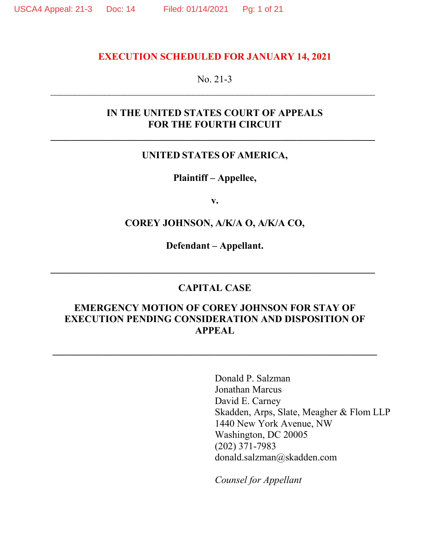#### **EXECUTION SCHEDULED FOR JANUARY 14, 2021**

#### No. 21-3

# **IN THE UNITED STATES COURT OF APPEALS FOR THE FOURTH CIRCUIT**

# **UNITED STATES OF AMERICA,**

#### **Plaintiff – Appellee,**

**v.** 

#### **COREY JOHNSON, A/K/A O, A/K/A CO,**

**Defendant – Appellant.** 

#### **CAPITAL CASE**

# **EMERGENCY MOTION OF COREY JOHNSON FOR STAY OF EXECUTION PENDING CONSIDERATION AND DISPOSITION OF APPEAL**

**\_\_\_\_\_\_\_\_\_\_\_\_\_\_\_\_\_\_\_\_\_\_\_\_\_\_\_\_\_\_\_\_\_\_\_\_\_\_\_\_\_\_\_\_\_\_\_\_\_\_\_\_\_\_\_\_\_\_\_\_\_\_\_\_\_\_** 

Donald P. Salzman Jonathan Marcus David E. Carney Skadden, Arps, Slate, Meagher & Flom LLP 1440 New York Avenue, NW Washington, DC 20005 (202) 371-7983 donald.salzman@skadden.com

*Counsel for Appellant*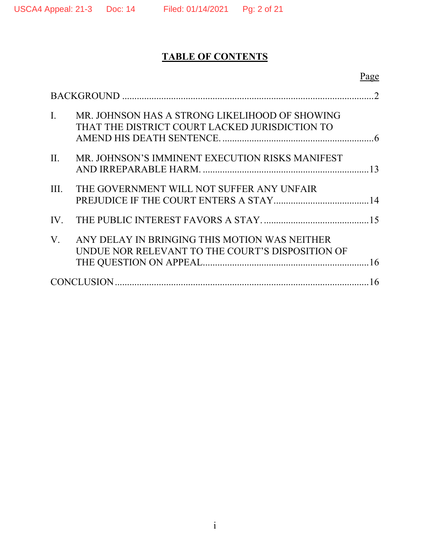# **TABLE OF CONTENTS**

|                |                                                                                                   | Page |
|----------------|---------------------------------------------------------------------------------------------------|------|
| $\mathcal{D}$  |                                                                                                   |      |
| $\mathbf{I}$ . | MR. JOHNSON HAS A STRONG LIKELIHOOD OF SHOWING<br>THAT THE DISTRICT COURT LACKED JURISDICTION TO  |      |
| II.            | MR. JOHNSON'S IMMINENT EXECUTION RISKS MANIFEST                                                   |      |
| III.           | THE GOVERNMENT WILL NOT SUFFER ANY UNFAIR                                                         |      |
|                |                                                                                                   |      |
| $V_{\cdot}$    | ANY DELAY IN BRINGING THIS MOTION WAS NEITHER<br>UNDUE NOR RELEVANT TO THE COURT'S DISPOSITION OF |      |
| 16             |                                                                                                   |      |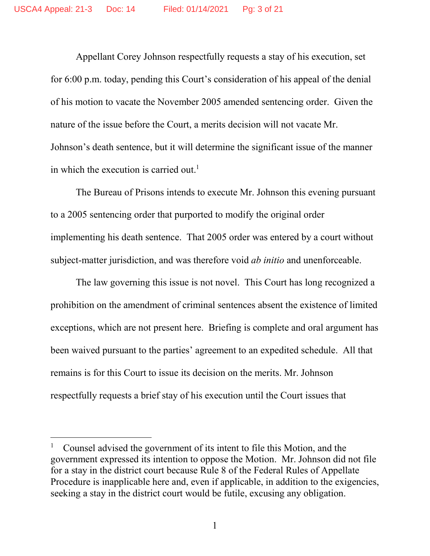Appellant Corey Johnson respectfully requests a stay of his execution, set for 6:00 p.m. today, pending this Court's consideration of his appeal of the denial of his motion to vacate the November 2005 amended sentencing order. Given the nature of the issue before the Court, a merits decision will not vacate Mr. Johnson's death sentence, but it will determine the significant issue of the manner in which the execution is carried out.<sup>1</sup>

The Bureau of Prisons intends to execute Mr. Johnson this evening pursuant to a 2005 sentencing order that purported to modify the original order implementing his death sentence. That 2005 order was entered by a court without subject-matter jurisdiction, and was therefore void *ab initio* and unenforceable.

The law governing this issue is not novel. This Court has long recognized a prohibition on the amendment of criminal sentences absent the existence of limited exceptions, which are not present here. Briefing is complete and oral argument has been waived pursuant to the parties' agreement to an expedited schedule. All that remains is for this Court to issue its decision on the merits. Mr. Johnson respectfully requests a brief stay of his execution until the Court issues that

<sup>1</sup> Counsel advised the government of its intent to file this Motion, and the government expressed its intention to oppose the Motion. Mr. Johnson did not file for a stay in the district court because Rule 8 of the Federal Rules of Appellate Procedure is inapplicable here and, even if applicable, in addition to the exigencies, seeking a stay in the district court would be futile, excusing any obligation.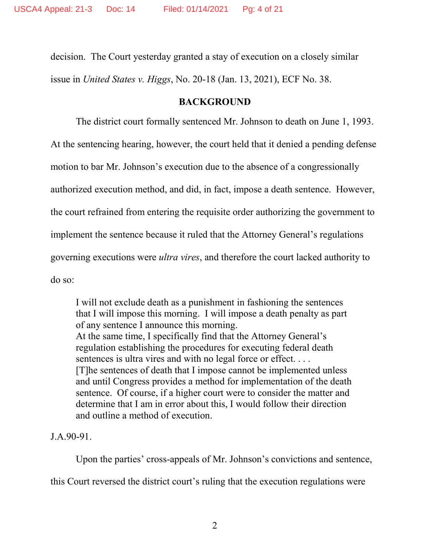decision. The Court yesterday granted a stay of execution on a closely similar issue in *United States v. Higgs*, No. 20-18 (Jan. 13, 2021), ECF No. 38.

# **BACKGROUND**

The district court formally sentenced Mr. Johnson to death on June 1, 1993. At the sentencing hearing, however, the court held that it denied a pending defense motion to bar Mr. Johnson's execution due to the absence of a congressionally authorized execution method, and did, in fact, impose a death sentence. However, the court refrained from entering the requisite order authorizing the government to implement the sentence because it ruled that the Attorney General's regulations governing executions were *ultra vires*, and therefore the court lacked authority to do so:

I will not exclude death as a punishment in fashioning the sentences that I will impose this morning. I will impose a death penalty as part of any sentence I announce this morning. At the same time, I specifically find that the Attorney General's regulation establishing the procedures for executing federal death sentences is ultra vires and with no legal force or effect.... [T]he sentences of death that I impose cannot be implemented unless and until Congress provides a method for implementation of the death sentence. Of course, if a higher court were to consider the matter and determine that I am in error about this, I would follow their direction and outline a method of execution.

J.A.90-91.

Upon the parties' cross-appeals of Mr. Johnson's convictions and sentence,

this Court reversed the district court's ruling that the execution regulations were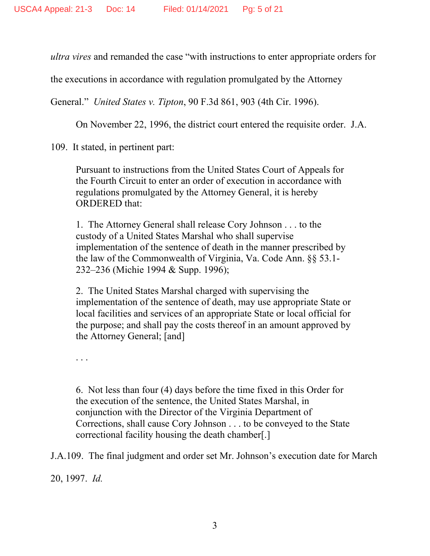*ultra vires* and remanded the case "with instructions to enter appropriate orders for

the executions in accordance with regulation promulgated by the Attorney

General." *United States v. Tipton*, 90 F.3d 861, 903 (4th Cir. 1996).

On November 22, 1996, the district court entered the requisite order. J.A.

109. It stated, in pertinent part:

Pursuant to instructions from the United States Court of Appeals for the Fourth Circuit to enter an order of execution in accordance with regulations promulgated by the Attorney General, it is hereby ORDERED that:

1. The Attorney General shall release Cory Johnson . . . to the custody of a United States Marshal who shall supervise implementation of the sentence of death in the manner prescribed by the law of the Commonwealth of Virginia, Va. Code Ann. §§ 53.1- 232–236 (Michie 1994 & Supp. 1996);

2. The United States Marshal charged with supervising the implementation of the sentence of death, may use appropriate State or local facilities and services of an appropriate State or local official for the purpose; and shall pay the costs thereof in an amount approved by the Attorney General; [and]

. . .

6. Not less than four (4) days before the time fixed in this Order for the execution of the sentence, the United States Marshal, in conjunction with the Director of the Virginia Department of Corrections, shall cause Cory Johnson . . . to be conveyed to the State correctional facility housing the death chamber[.]

J.A.109. The final judgment and order set Mr. Johnson's execution date for March

20, 1997. *Id.*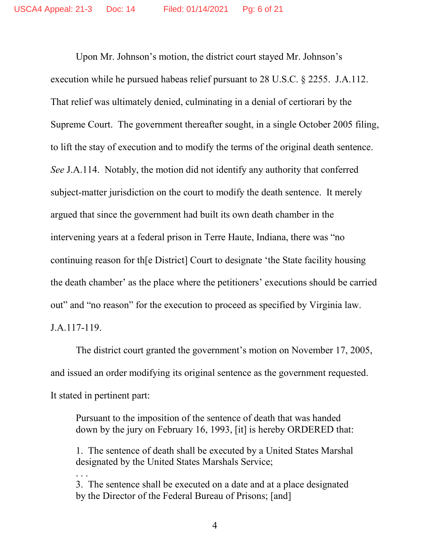Upon Mr. Johnson's motion, the district court stayed Mr. Johnson's execution while he pursued habeas relief pursuant to 28 U.S.C. § 2255. J.A.112. That relief was ultimately denied, culminating in a denial of certiorari by the Supreme Court. The government thereafter sought, in a single October 2005 filing, to lift the stay of execution and to modify the terms of the original death sentence. *See* J.A.114. Notably, the motion did not identify any authority that conferred subject-matter jurisdiction on the court to modify the death sentence. It merely argued that since the government had built its own death chamber in the intervening years at a federal prison in Terre Haute, Indiana, there was "no continuing reason for th[e District] Court to designate 'the State facility housing the death chamber' as the place where the petitioners' executions should be carried out" and "no reason" for the execution to proceed as specified by Virginia law. J.A.117-119.

The district court granted the government's motion on November 17, 2005, and issued an order modifying its original sentence as the government requested. It stated in pertinent part:

Pursuant to the imposition of the sentence of death that was handed down by the jury on February 16, 1993, [it] is hereby ORDERED that:

1. The sentence of death shall be executed by a United States Marshal designated by the United States Marshals Service;

3. The sentence shall be executed on a date and at a place designated by the Director of the Federal Bureau of Prisons; [and]

. . .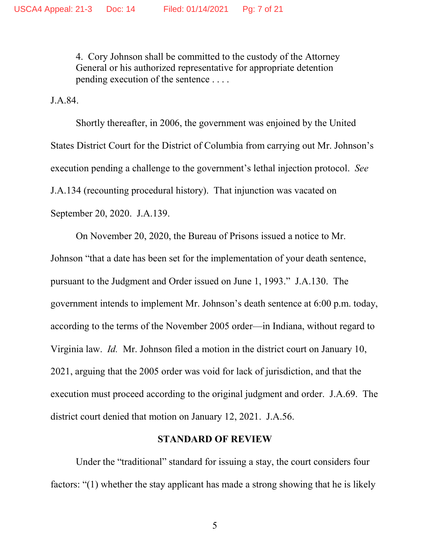4. Cory Johnson shall be committed to the custody of the Attorney General or his authorized representative for appropriate detention pending execution of the sentence . . . .

J.A.84.

Shortly thereafter, in 2006, the government was enjoined by the United States District Court for the District of Columbia from carrying out Mr. Johnson's execution pending a challenge to the government's lethal injection protocol. *See*  J.A.134 (recounting procedural history). That injunction was vacated on September 20, 2020. J.A.139.

On November 20, 2020, the Bureau of Prisons issued a notice to Mr. Johnson "that a date has been set for the implementation of your death sentence, pursuant to the Judgment and Order issued on June 1, 1993." J.A.130. The government intends to implement Mr. Johnson's death sentence at 6:00 p.m. today, according to the terms of the November 2005 order—in Indiana, without regard to Virginia law. *Id.* Mr. Johnson filed a motion in the district court on January 10, 2021, arguing that the 2005 order was void for lack of jurisdiction, and that the execution must proceed according to the original judgment and order. J.A.69. The district court denied that motion on January 12, 2021. J.A.56.

#### **STANDARD OF REVIEW**

Under the "traditional" standard for issuing a stay, the court considers four factors: "(1) whether the stay applicant has made a strong showing that he is likely

5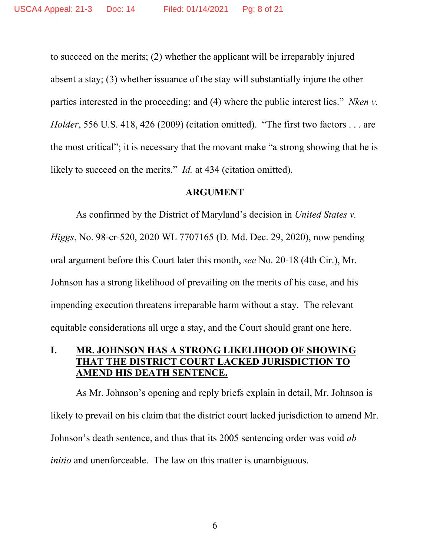to succeed on the merits; (2) whether the applicant will be irreparably injured absent a stay; (3) whether issuance of the stay will substantially injure the other parties interested in the proceeding; and (4) where the public interest lies." *Nken v. Holder*, 556 U.S. 418, 426 (2009) (citation omitted). "The first two factors . . . are the most critical"; it is necessary that the movant make "a strong showing that he is likely to succeed on the merits." *Id.* at 434 (citation omitted).

#### **ARGUMENT**

As confirmed by the District of Maryland's decision in *United States v. Higgs*, No. 98-cr-520, 2020 WL 7707165 (D. Md. Dec. 29, 2020), now pending oral argument before this Court later this month, *see* No. 20-18 (4th Cir.), Mr. Johnson has a strong likelihood of prevailing on the merits of his case, and his impending execution threatens irreparable harm without a stay. The relevant equitable considerations all urge a stay, and the Court should grant one here.

# **I. MR. JOHNSON HAS A STRONG LIKELIHOOD OF SHOWING THAT THE DISTRICT COURT LACKED JURISDICTION TO AMEND HIS DEATH SENTENCE.**

As Mr. Johnson's opening and reply briefs explain in detail, Mr. Johnson is likely to prevail on his claim that the district court lacked jurisdiction to amend Mr. Johnson's death sentence, and thus that its 2005 sentencing order was void *ab initio* and unenforceable. The law on this matter is unambiguous.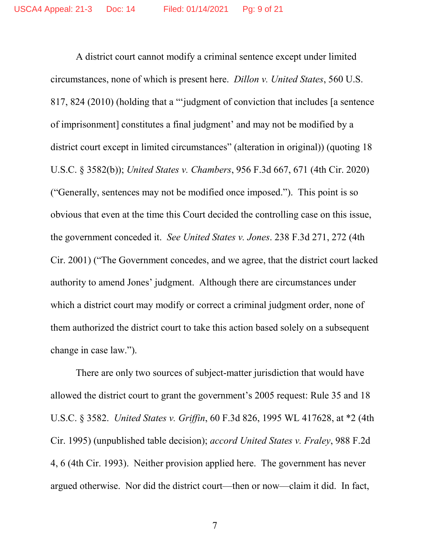A district court cannot modify a criminal sentence except under limited circumstances, none of which is present here. *Dillon v. United States*, 560 U.S. 817, 824 (2010) (holding that a "'judgment of conviction that includes [a sentence of imprisonment] constitutes a final judgment' and may not be modified by a district court except in limited circumstances" (alteration in original)) (quoting 18 U.S.C. § 3582(b)); *United States v. Chambers*, 956 F.3d 667, 671 (4th Cir. 2020) ("Generally, sentences may not be modified once imposed."). This point is so obvious that even at the time this Court decided the controlling case on this issue, the government conceded it. *See United States v. Jones*. 238 F.3d 271, 272 (4th Cir. 2001) ("The Government concedes, and we agree, that the district court lacked authority to amend Jones' judgment. Although there are circumstances under which a district court may modify or correct a criminal judgment order, none of them authorized the district court to take this action based solely on a subsequent change in case law.").

There are only two sources of subject-matter jurisdiction that would have allowed the district court to grant the government's 2005 request: Rule 35 and 18 U.S.C. § 3582. *United States v. Griffin*, 60 F.3d 826, 1995 WL 417628, at \*2 (4th Cir. 1995) (unpublished table decision); *accord United States v. Fraley*, 988 F.2d 4, 6 (4th Cir. 1993). Neither provision applied here. The government has never argued otherwise. Nor did the district court—then or now—claim it did. In fact,

7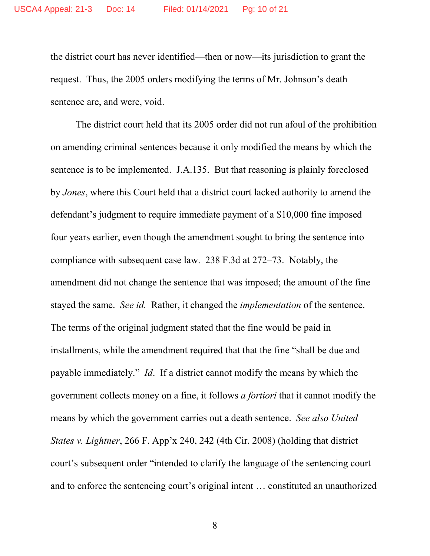the district court has never identified—then or now—its jurisdiction to grant the request. Thus, the 2005 orders modifying the terms of Mr. Johnson's death sentence are, and were, void.

The district court held that its 2005 order did not run afoul of the prohibition on amending criminal sentences because it only modified the means by which the sentence is to be implemented. J.A.135. But that reasoning is plainly foreclosed by *Jones*, where this Court held that a district court lacked authority to amend the defendant's judgment to require immediate payment of a \$10,000 fine imposed four years earlier, even though the amendment sought to bring the sentence into compliance with subsequent case law. 238 F.3d at 272–73. Notably, the amendment did not change the sentence that was imposed; the amount of the fine stayed the same. *See id.* Rather, it changed the *implementation* of the sentence. The terms of the original judgment stated that the fine would be paid in installments, while the amendment required that that the fine "shall be due and payable immediately." *Id*. If a district cannot modify the means by which the government collects money on a fine, it follows *a fortiori* that it cannot modify the means by which the government carries out a death sentence. *See also United States v. Lightner*, 266 F. App'x 240, 242 (4th Cir. 2008) (holding that district court's subsequent order "intended to clarify the language of the sentencing court and to enforce the sentencing court's original intent … constituted an unauthorized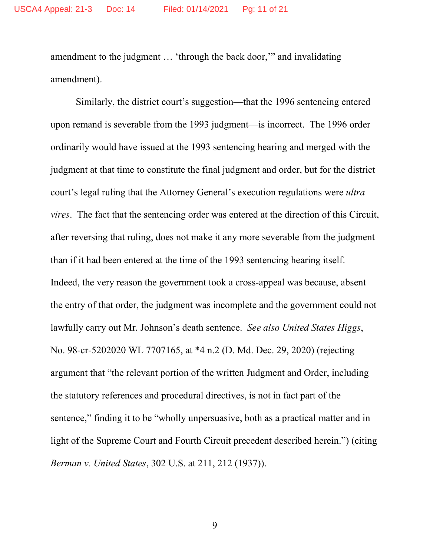amendment to the judgment … 'through the back door,'" and invalidating amendment).

Similarly, the district court's suggestion—that the 1996 sentencing entered upon remand is severable from the 1993 judgment—is incorrect. The 1996 order ordinarily would have issued at the 1993 sentencing hearing and merged with the judgment at that time to constitute the final judgment and order, but for the district court's legal ruling that the Attorney General's execution regulations were *ultra vires*. The fact that the sentencing order was entered at the direction of this Circuit, after reversing that ruling, does not make it any more severable from the judgment than if it had been entered at the time of the 1993 sentencing hearing itself. Indeed, the very reason the government took a cross-appeal was because, absent the entry of that order, the judgment was incomplete and the government could not lawfully carry out Mr. Johnson's death sentence. *See also United States Higgs*, No. 98-cr-5202020 WL 7707165, at \*4 n.2 (D. Md. Dec. 29, 2020) (rejecting argument that "the relevant portion of the written Judgment and Order, including the statutory references and procedural directives, is not in fact part of the sentence," finding it to be "wholly unpersuasive, both as a practical matter and in light of the Supreme Court and Fourth Circuit precedent described herein.") (citing *Berman v. United States*, 302 U.S. at 211, 212 (1937)).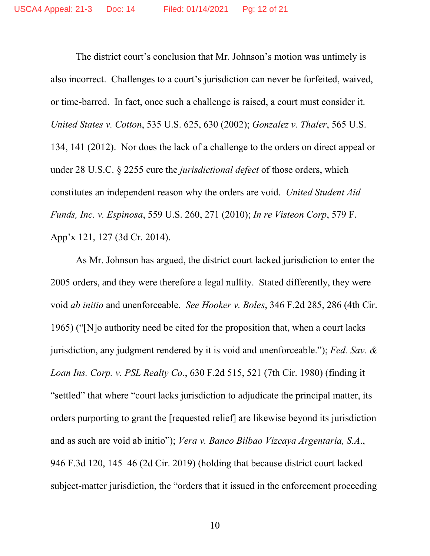The district court's conclusion that Mr. Johnson's motion was untimely is also incorrect. Challenges to a court's jurisdiction can never be forfeited, waived, or time-barred. In fact, once such a challenge is raised, a court must consider it. *United States v. Cotton*, 535 U.S. 625, 630 (2002); *Gonzalez v*. *Thaler*, 565 U.S. 134, 141 (2012). Nor does the lack of a challenge to the orders on direct appeal or under 28 U.S.C. § 2255 cure the *jurisdictional defect* of those orders, which constitutes an independent reason why the orders are void. *United Student Aid Funds, Inc. v. Espinosa*, 559 U.S. 260, 271 (2010); *In re Visteon Corp*, 579 F. App'x 121, 127 (3d Cr. 2014).

As Mr. Johnson has argued, the district court lacked jurisdiction to enter the 2005 orders, and they were therefore a legal nullity. Stated differently, they were void *ab initio* and unenforceable. *See Hooker v. Boles*, 346 F.2d 285, 286 (4th Cir. 1965) ("[N]o authority need be cited for the proposition that, when a court lacks jurisdiction, any judgment rendered by it is void and unenforceable."); *Fed. Sav. & Loan Ins. Corp. v. PSL Realty Co*., 630 F.2d 515, 521 (7th Cir. 1980) (finding it "settled" that where "court lacks jurisdiction to adjudicate the principal matter, its orders purporting to grant the [requested relief] are likewise beyond its jurisdiction and as such are void ab initio"); *Vera v. Banco Bilbao Vizcaya Argentaria, S.A*., 946 F.3d 120, 145–46 (2d Cir. 2019) (holding that because district court lacked subject-matter jurisdiction, the "orders that it issued in the enforcement proceeding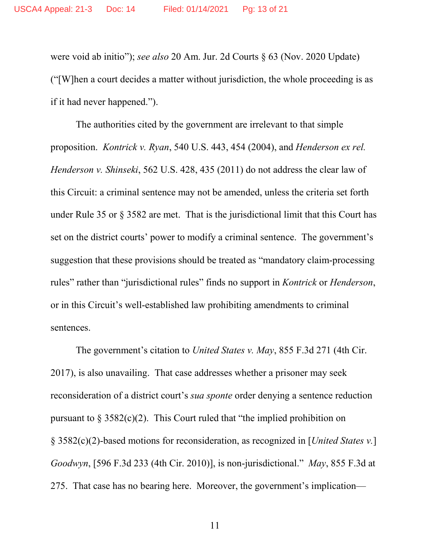were void ab initio"); *see also* 20 Am. Jur. 2d Courts § 63 (Nov. 2020 Update) ("[W]hen a court decides a matter without jurisdiction, the whole proceeding is as if it had never happened.").

The authorities cited by the government are irrelevant to that simple proposition. *Kontrick v. Ryan*, 540 U.S. 443, 454 (2004), and *Henderson ex rel. Henderson v. Shinseki*, 562 U.S. 428, 435 (2011) do not address the clear law of this Circuit: a criminal sentence may not be amended, unless the criteria set forth under Rule 35 or § 3582 are met. That is the jurisdictional limit that this Court has set on the district courts' power to modify a criminal sentence. The government's suggestion that these provisions should be treated as "mandatory claim-processing rules" rather than "jurisdictional rules" finds no support in *Kontrick* or *Henderson*, or in this Circuit's well-established law prohibiting amendments to criminal sentences.

The government's citation to *United States v. May*, 855 F.3d 271 (4th Cir. 2017), is also unavailing. That case addresses whether a prisoner may seek reconsideration of a district court's *sua sponte* order denying a sentence reduction pursuant to  $\S 3582(c)(2)$ . This Court ruled that "the implied prohibition on § 3582(c)(2)-based motions for reconsideration, as recognized in [*United States v.*] *Goodwyn*, [596 F.3d 233 (4th Cir. 2010)], is non-jurisdictional." *May*, 855 F.3d at 275. That case has no bearing here. Moreover, the government's implication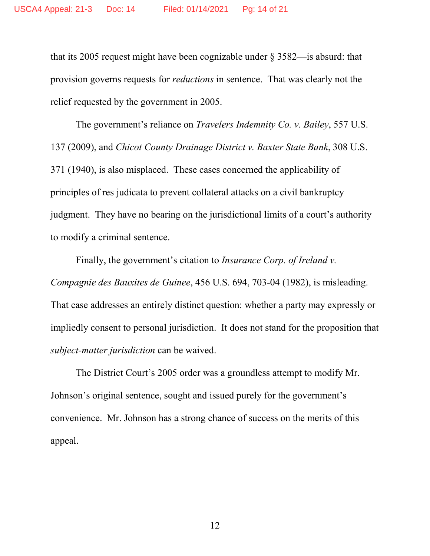that its 2005 request might have been cognizable under § 3582—is absurd: that provision governs requests for *reductions* in sentence. That was clearly not the relief requested by the government in 2005.

The government's reliance on *Travelers Indemnity Co. v. Bailey*, 557 U.S. 137 (2009), and *Chicot County Drainage District v. Baxter State Bank*, 308 U.S. 371 (1940), is also misplaced. These cases concerned the applicability of principles of res judicata to prevent collateral attacks on a civil bankruptcy judgment. They have no bearing on the jurisdictional limits of a court's authority to modify a criminal sentence.

Finally, the government's citation to *Insurance Corp. of Ireland v. Compagnie des Bauxites de Guinee*, 456 U.S. 694, 703-04 (1982), is misleading. That case addresses an entirely distinct question: whether a party may expressly or impliedly consent to personal jurisdiction. It does not stand for the proposition that *subject-matter jurisdiction* can be waived.

The District Court's 2005 order was a groundless attempt to modify Mr. Johnson's original sentence, sought and issued purely for the government's convenience. Mr. Johnson has a strong chance of success on the merits of this appeal.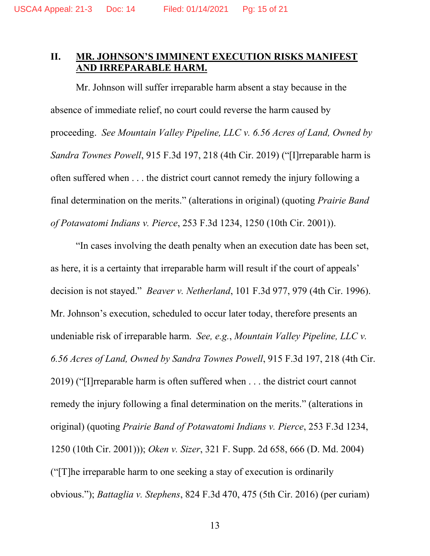# **II. MR. JOHNSON'S IMMINENT EXECUTION RISKS MANIFEST AND IRREPARABLE HARM.**

Mr. Johnson will suffer irreparable harm absent a stay because in the absence of immediate relief, no court could reverse the harm caused by proceeding. *See Mountain Valley Pipeline, LLC v. 6.56 Acres of Land, Owned by Sandra Townes Powell*, 915 F.3d 197, 218 (4th Cir. 2019) ("[I]rreparable harm is often suffered when . . . the district court cannot remedy the injury following a final determination on the merits." (alterations in original) (quoting *Prairie Band of Potawatomi Indians v. Pierce*, 253 F.3d 1234, 1250 (10th Cir. 2001)).

"In cases involving the death penalty when an execution date has been set, as here, it is a certainty that irreparable harm will result if the court of appeals' decision is not stayed." *Beaver v. Netherland*, 101 F.3d 977, 979 (4th Cir. 1996). Mr. Johnson's execution, scheduled to occur later today, therefore presents an undeniable risk of irreparable harm. *See, e.g.*, *Mountain Valley Pipeline, LLC v. 6.56 Acres of Land, Owned by Sandra Townes Powell*, 915 F.3d 197, 218 (4th Cir. 2019) ("[I]rreparable harm is often suffered when . . . the district court cannot remedy the injury following a final determination on the merits." (alterations in original) (quoting *Prairie Band of Potawatomi Indians v. Pierce*, 253 F.3d 1234, 1250 (10th Cir. 2001))); *Oken v. Sizer*, 321 F. Supp. 2d 658, 666 (D. Md. 2004) ("[T]he irreparable harm to one seeking a stay of execution is ordinarily obvious."); *Battaglia v. Stephens*, 824 F.3d 470, 475 (5th Cir. 2016) (per curiam)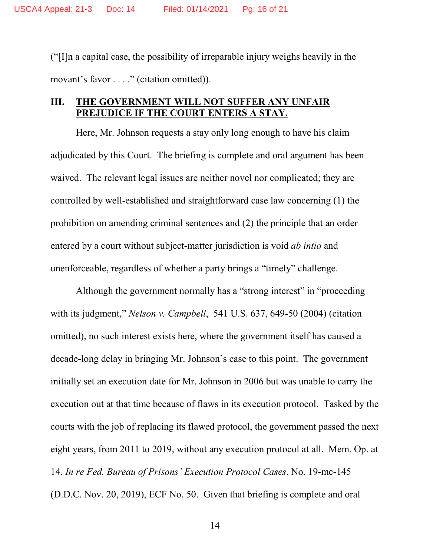("[I]n a capital case, the possibility of irreparable injury weighs heavily in the movant's favor . . . ." (citation omitted)).

## **III. THE GOVERNMENT WILL NOT SUFFER ANY UNFAIR PREJUDICE IF THE COURT ENTERS A STAY.**

Here, Mr. Johnson requests a stay only long enough to have his claim adjudicated by this Court. The briefing is complete and oral argument has been waived. The relevant legal issues are neither novel nor complicated; they are controlled by well-established and straightforward case law concerning (1) the prohibition on amending criminal sentences and (2) the principle that an order entered by a court without subject-matter jurisdiction is void *ab intio* and unenforceable, regardless of whether a party brings a "timely" challenge.

Although the government normally has a "strong interest" in "proceeding with its judgment," *Nelson v. Campbell*, 541 U.S. 637, 649-50 (2004) (citation omitted), no such interest exists here, where the government itself has caused a decade-long delay in bringing Mr. Johnson's case to this point. The government initially set an execution date for Mr. Johnson in 2006 but was unable to carry the execution out at that time because of flaws in its execution protocol. Tasked by the courts with the job of replacing its flawed protocol, the government passed the next eight years, from 2011 to 2019, without any execution protocol at all. Mem. Op. at 14, *In re Fed. Bureau of Prisons' Execution Protocol Cases*, No. 19-mc-145 (D.D.C. Nov. 20, 2019), ECF No. 50. Given that briefing is complete and oral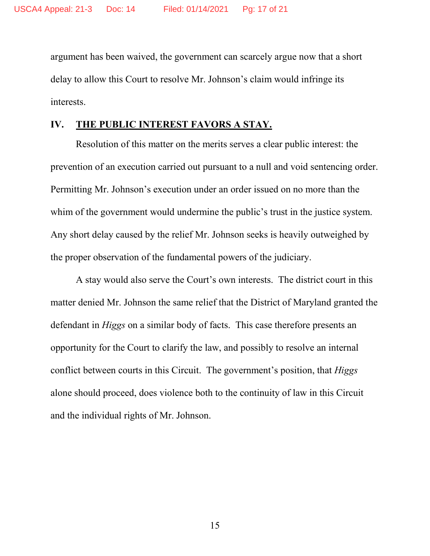argument has been waived, the government can scarcely argue now that a short delay to allow this Court to resolve Mr. Johnson's claim would infringe its interests.

# **IV. THE PUBLIC INTEREST FAVORS A STAY.**

Resolution of this matter on the merits serves a clear public interest: the prevention of an execution carried out pursuant to a null and void sentencing order. Permitting Mr. Johnson's execution under an order issued on no more than the whim of the government would undermine the public's trust in the justice system. Any short delay caused by the relief Mr. Johnson seeks is heavily outweighed by the proper observation of the fundamental powers of the judiciary.

A stay would also serve the Court's own interests. The district court in this matter denied Mr. Johnson the same relief that the District of Maryland granted the defendant in *Higgs* on a similar body of facts. This case therefore presents an opportunity for the Court to clarify the law, and possibly to resolve an internal conflict between courts in this Circuit. The government's position, that *Higgs* alone should proceed, does violence both to the continuity of law in this Circuit and the individual rights of Mr. Johnson.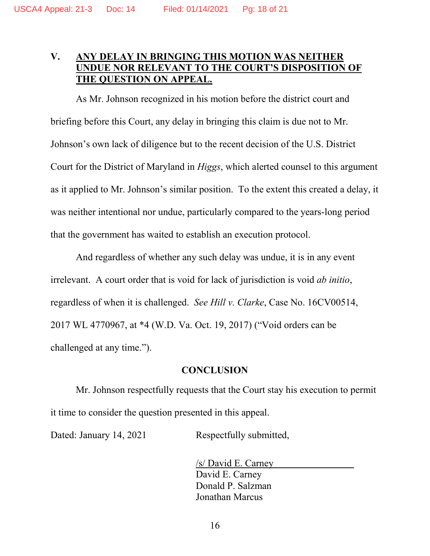# **V. ANY DELAY IN BRINGING THIS MOTION WAS NEITHER UNDUE NOR RELEVANT TO THE COURT'S DISPOSITION OF THE QUESTION ON APPEAL.**

As Mr. Johnson recognized in his motion before the district court and briefing before this Court, any delay in bringing this claim is due not to Mr. Johnson's own lack of diligence but to the recent decision of the U.S. District Court for the District of Maryland in *Higgs*, which alerted counsel to this argument as it applied to Mr. Johnson's similar position. To the extent this created a delay, it was neither intentional nor undue, particularly compared to the years-long period that the government has waited to establish an execution protocol.

And regardless of whether any such delay was undue, it is in any event irrelevant. A court order that is void for lack of jurisdiction is void *ab initio*, regardless of when it is challenged. *See Hill v. Clarke*, Case No. 16CV00514, 2017 WL 4770967, at \*4 (W.D. Va. Oct. 19, 2017) ("Void orders can be challenged at any time.").

#### **CONCLUSION**

Mr. Johnson respectfully requests that the Court stay his execution to permit it time to consider the question presented in this appeal.

Dated: January 14, 2021 Respectfully submitted,

/s/ David E. Carney David E. Carney Donald P. Salzman Jonathan Marcus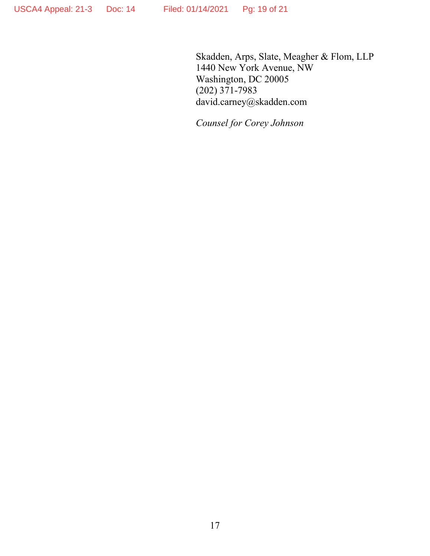Skadden, Arps, Slate, Meagher & Flom, LLP 1440 New York Avenue, NW Washington, DC 20005 (202) 371-7983 david.carney@skadden.com

*Counsel for Corey Johnson*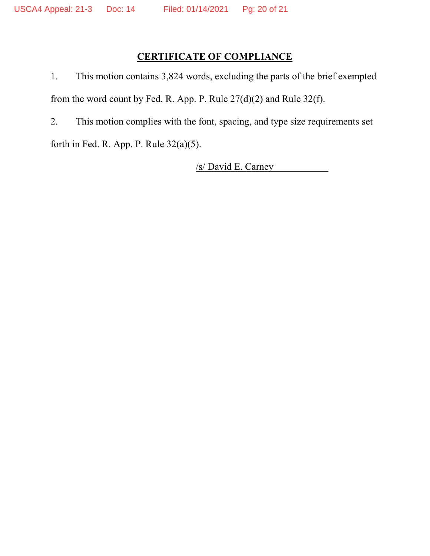# **CERTIFICATE OF COMPLIANCE**

1. This motion contains 3,824 words, excluding the parts of the brief exempted from the word count by Fed. R. App. P. Rule 27(d)(2) and Rule 32(f).

2. This motion complies with the font, spacing, and type size requirements set

forth in Fed. R. App. P. Rule 32(a)(5).

/s/ David E. Carney